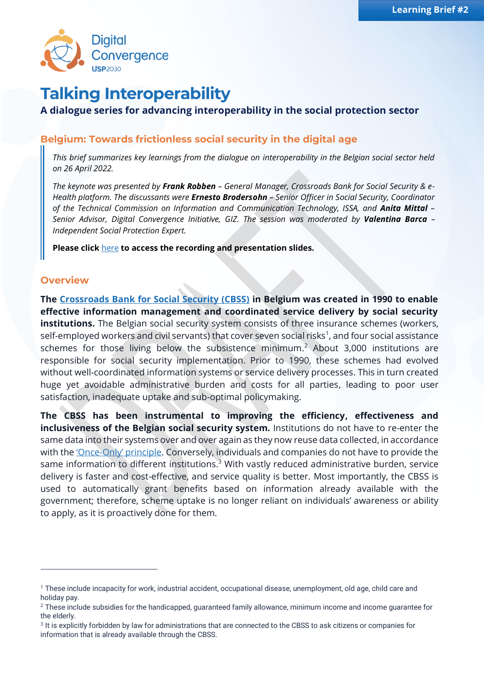

# **Talking Interoperability**

## **A dialogue series for advancing interoperability in the social protection sector**

## **Belgium: Towards frictionless social security in the digital age**

*This brief summarizes key learnings from the dialogue on interoperability in the Belgian social sector held on 26 April 2022.*

*The keynote was presented by Frank Robben – General Manager, Crossroads Bank for Social Security & e-Health platform. The discussants were Ernesto Brodersohn – Senior Officer in Social Security, Coordinator of the Technical Commission on Information and Communication Technology, ISSA, and Anita Mittal – Senior Advisor, Digital Convergence Initiative, GIZ. The session was moderated by Valentina Barca – Independent Social Protection Expert.*

**Please click** [here](https://sp-convergence.org/resources) **to access the recording and presentation slides.**

#### **Overview**

**The [Crossroads Bank for Social Security \(CBSS\)](https://www.ksz-bcss.fgov.be/en) in Belgium was created in 1990 to enable effective information management and coordinated service delivery by social security institutions.** The Belgian social security system consists of three insurance schemes (workers, self-employed workers and civil servants) that cover seven social risks<sup>1</sup>, and four social assistance schemes for those living below the subsistence minimum.<sup>2</sup> About 3,000 institutions are responsible for social security implementation. Prior to 1990, these schemes had evolved without well-coordinated information systems or service delivery processes. This in turn created huge yet avoidable administrative burden and costs for all parties, leading to poor user satisfaction, inadequate uptake and sub-optimal policymaking.

**The CBSS has been instrumental to improving the efficiency, effectiveness and inclusiveness of the Belgian social security system.** Institutions do not have to re-enter the same data into their systems over and over again as they now reuse data collected, in accordance with the 'Once-[Only' principle](https://en.wikipedia.org/wiki/Once-only_principle#:~:text=The%20once%2Donly%20principle%20is,the%20authorities%20and%20administrations%20once.). Conversely, individuals and companies do not have to provide the same information to different institutions.<sup>3</sup> With vastly reduced administrative burden, service delivery is faster and cost-effective, and service quality is better. Most importantly, the CBSS is used to automatically grant benefits based on information already available with the government; therefore, scheme uptake is no longer reliant on individuals' awareness or ability to apply, as it is proactively done for them.

<sup>1</sup> These include incapacity for work, industrial accident, occupational disease, unemployment, old age, child care and holiday pay.

 $2$  These include subsidies for the handicapped, guaranteed family allowance, minimum income and income guarantee for the elderly.

<sup>&</sup>lt;sup>3</sup> It is explicitly forbidden by law for administrations that are connected to the CBSS to ask citizens or companies for information that is already available through the CBSS.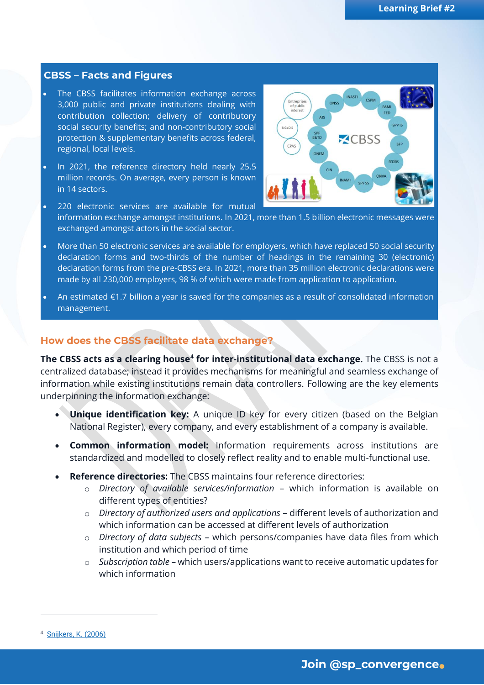#### **CBSS – Facts and Figures**

- The CBSS facilitates information exchange across 3,000 public and private institutions dealing with contribution collection; delivery of contributory social security benefits; and non-contributory social protection & supplementary benefits across federal, regional, local levels.
- In 2021, the reference directory held nearly 25.5 million records. On average, every person is known in 14 sectors.



- 220 electronic services are available for mutual information exchange amongst institutions. In 2021, more than 1.5 billion electronic messages were exchanged amongst actors in the social sector.
- More than 50 electronic services are available for employers, which have replaced 50 social security declaration forms and two-thirds of the number of headings in the remaining 30 (electronic) declaration forms from the pre-CBSS era. In 2021, more than 35 million electronic declarations were made by all 230,000 employers, 98 % of which were made from application to application.
- An estimated €1.7 billion a year is saved for the companies as a result of consolidated information management.

#### **How does the CBSS facilitate data exchange?**

**The CBSS acts as a clearing house<sup>4</sup> for inter-institutional data exchange.** The CBSS is not a centralized database; instead it provides mechanisms for meaningful and seamless exchange of information while existing institutions remain data controllers. Following are the key elements underpinning the information exchange:

- **Unique identification key:** A unique ID key for every citizen (based on the Belgian National Register), every company, and every establishment of a company is available.
- **Common information model:** Information requirements across institutions are standardized and modelled to closely reflect reality and to enable multi-functional use.
- **Reference directories:** The CBSS maintains four reference directories:
	- o *Directory of available services/information* which information is available on different types of entities?
	- o *Directory of authorized users and applications* different levels of authorization and which information can be accessed at different levels of authorization
	- o *Directory of data subjects* which persons/companies have data files from which institution and which period of time
	- o *Subscription table* which users/applications want to receive automatic updates for which information

<sup>4</sup> [Snijkers, K. \(2006\)](https://books.google.com/books?hl=en&lr=&id=g9TvAgAAQBAJ&oi=fnd&pg=PA53&dq=Process+Innovation+in+the+Public+Sector:+Two+Belgian+Crossroads+Bank+Initiatives&ots=C-A77ki8L0&sig=RofZXTJLShgLlOMOzf1yLaPlOWE)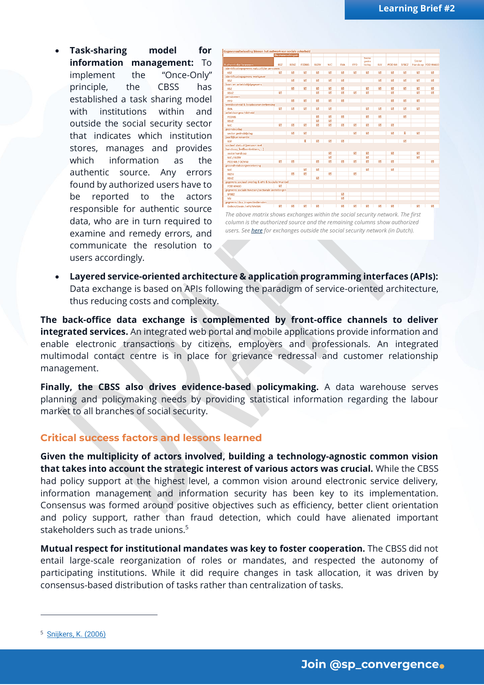• **Task-sharing model for information management:** To implement the "Once-Only" principle, the CBSS has established a task sharing model with institutions within and outside the social security sector that indicates which institution stores, manages and provides which information as the authentic source. Any errors found by authorized users have to be reported to the actors responsible for authentic source data, who are in turn required to examine and remedy errors, and communicate the resolution to users accordingly.



*The above matrix shows exchanges within the social security network. The first column is the authorized source and the remaining columns show authorized users. Se[e here](https://www.ksz-bcss.fgov.be/nl/gegevensbescherming/gegevens-en-dienstencatalogus-sociale-sector) for exchanges outside the social security network (in Dutch).*

• **Layered service-oriented architecture & application programming interfaces (APIs):**  Data exchange is based on APIs following the paradigm of service-oriented architecture, thus reducing costs and complexity.

**The back-office data exchange is complemented by front-office channels to deliver integrated services.** An integrated web portal and mobile applications provide information and enable electronic transactions by citizens, employers and professionals. An integrated multimodal contact centre is in place for grievance redressal and customer relationship management.

**Finally, the CBSS also drives evidence-based policymaking.** A data warehouse serves planning and policymaking needs by providing statistical information regarding the labour market to all branches of social security.

### **Critical success factors and lessons learned**

**Given the multiplicity of actors involved, building a technology-agnostic common vision that takes into account the strategic interest of various actors was crucial.** While the CBSS had policy support at the highest level, a common vision around electronic service delivery, information management and information security has been key to its implementation. Consensus was formed around positive objectives such as efficiency, better client orientation and policy support, rather than fraud detection, which could have alienated important stakeholders such as trade unions.<sup>5</sup>

**Mutual respect for institutional mandates was key to foster cooperation.** The CBSS did not entail large-scale reorganization of roles or mandates, and respected the autonomy of participating institutions. While it did require changes in task allocation, it was driven by consensus-based distribution of tasks rather than centralization of tasks.

<sup>5</sup> [Snijkers, K. \(2006\)](https://books.google.com/books?hl=en&lr=&id=g9TvAgAAQBAJ&oi=fnd&pg=PA53&dq=Process+Innovation+in+the+Public+Sector:+Two+Belgian+Crossroads+Bank+Initiatives&ots=C-A77ki8L0&sig=RofZXTJLShgLlOMOzf1yLaPlOWE)